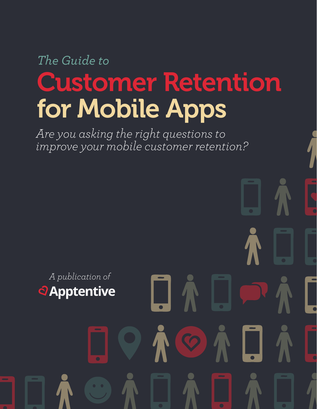# *The Guide to* Customer Retention for Mobile Apps

*Are you asking the right questions to improve your mobile customer retention?*

*A publication of* **a**Apptentive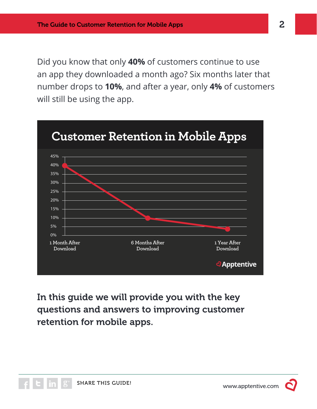Did you know that only **40%** of customers continue to use an app they downloaded a month ago? Six months later that number drops to **10%**, and after a year, only **4%** of customers will still be using the app.



In this guide we will provide you with the key questions and answers to improving customer retention for mobile apps.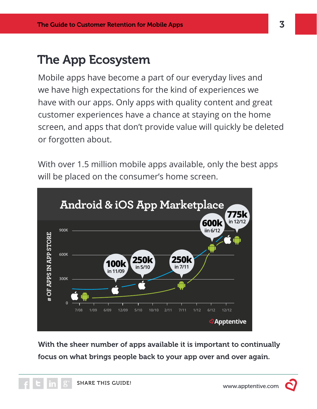# The App Ecosystem

Mobile apps have become a part of our everyday lives and we have high expectations for the kind of experiences we have with our apps. Only apps with quality content and great customer experiences have a chance at staying on the home screen, and apps that don't provide value will quickly be deleted or forgotten about.

With over 1.5 million mobile apps available, only the best apps will be placed on the consumer's home screen.



With the sheer number of apps available it is important to continually focus on what brings people back to your app over and over again.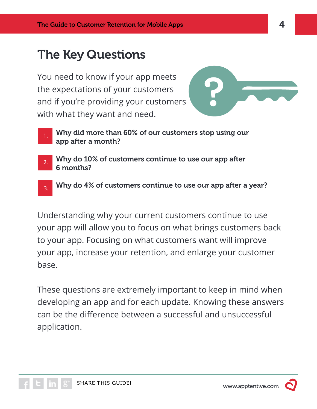# The Key Questions

You need to know if your app meets the expectations of your customers and if you're providing your customers with what they want and need.



1.

Why did more than 60% of our customers stop using our app after a month?

- Why do 10% of customers continue to use our app after 6 months? 2.
- Why do 4% of customers continue to use our app after a year? 3.

Understanding why your current customers continue to use your app will allow you to focus on what brings customers back to your app. Focusing on what customers want will improve your app, increase your retention, and enlarge your customer base.

These questions are extremely important to keep in mind when developing an app and for each update. Knowing these answers can be the difference between a successful and unsuccessful application.



www.apptentive.com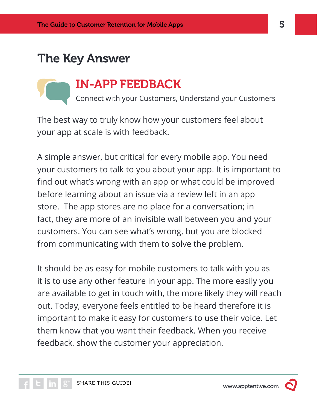## The Key Answer



The best way to truly know how your customers feel about your app at scale is with feedback.

A simple answer, but critical for every mobile app. You need your customers to talk to you about your app. It is important to find out what's wrong with an app or what could be improved before learning about an issue via a review left in an app store. The app stores are no place for a conversation; in fact, they are more of an invisible wall between you and your customers. You can see what's wrong, but you are blocked from communicating with them to solve the problem.

It should be as easy for mobile customers to talk with you as it is to use any other feature in your app. The more easily you are available to get in touch with, the more likely they will reach out. Today, everyone feels entitled to be heard therefore it is important to make it easy for customers to use their voice. Let them know that you want their feedback. When you receive feedback, show the customer your appreciation.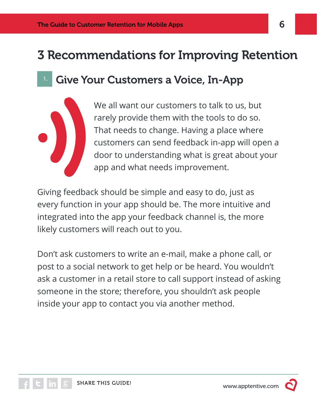# 3 Recommendations for Improving Retention

## Give Your Customers a Voice, In-App

We all want our customers to talk to us, but rarely provide them with the tools to do so. That needs to change. Having a place where customers can send feedback in-app will open a door to understanding what is great about your app and what needs improvement.

Giving feedback should be simple and easy to do, just as every function in your app should be. The more intuitive and integrated into the app your feedback channel is, the more likely customers will reach out to you.

Don't ask customers to write an e-mail, make a phone call, or post to a social network to get help or be heard. You wouldn't ask a customer in a retail store to call support instead of asking someone in the store; therefore, you shouldn't ask people inside your app to contact you via another method.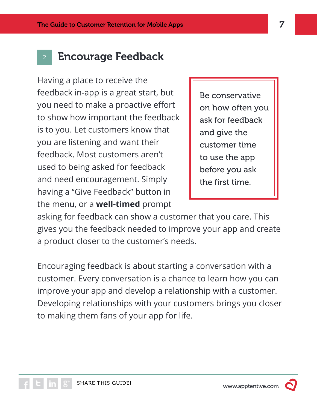#### **Encourage Feedback**

Having a place to receive the feedback in-app is a great start, but you need to make a proactive effort to show how important the feedback is to you. Let customers know that you are listening and want their feedback. Most customers aren't used to being asked for feedback and need encouragement. Simply having a "Give Feedback" button in the menu, or a **well-timed** prompt

Be conservative on how often you ask for feedback and give the customer time to use the app before you ask the first time.

asking for feedback can show a customer that you care. This gives you the feedback needed to improve your app and create a product closer to the customer's needs.

Encouraging feedback is about starting a conversation with a customer. Every conversation is a chance to learn how you can improve your app and develop a relationship with a customer. Developing relationships with your customers brings you closer to making them fans of your app for life.

www.apptentive.com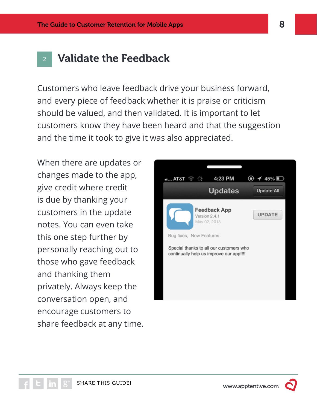#### **Validate the Feedback**

Customers who leave feedback drive your business forward, and every piece of feedback whether it is praise or criticism should be valued, and then validated. It is important to let customers know they have been heard and that the suggestion and the time it took to give it was also appreciated.

When there are updates or changes made to the app, give credit where credit is due by thanking your customers in the update notes. You can even take this one step further by personally reaching out to those who gave feedback and thanking them privately. Always keep the conversation open, and encourage customers to share feedback at any time.

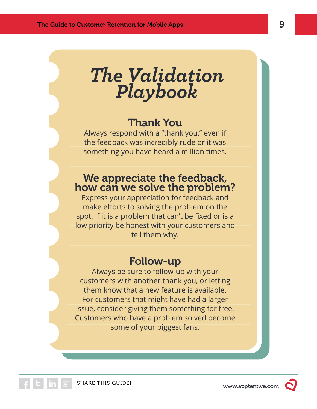*The Validation Playbook*

## Thank You

Always respond with a "thank you," even if the feedback was incredibly rude or it was something you have heard a million times.

#### We appreciate the feedback, how can we solve the problem?

Express your appreciation for feedback and make efforts to solving the problem on the spot. If it is a problem that can't be fixed or is a low priority be honest with your customers and tell them why.

#### Follow-up

Always be sure to follow-up with your customers with another thank you, or letting them know that a new feature is available. For customers that might have had a larger issue, consider giving them something for free. Customers who have a problem solved become some of your biggest fans.

www.apptentive.com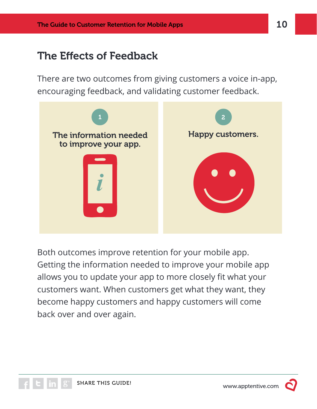## The Effects of Feedback

There are two outcomes from giving customers a voice in-app, encouraging feedback, and validating customer feedback.



Both outcomes improve retention for your mobile app. Getting the information needed to improve your mobile app allows you to update your app to more closely fit what your customers want. When customers get what they want, they become happy customers and happy customers will come back over and over again.

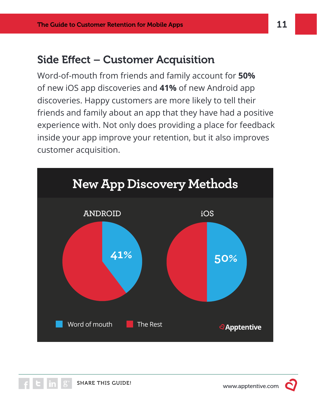## Side Effect – Customer Acquisition

Word-of-mouth from friends and family account for **50%**  of new iOS app discoveries and **41%** of new Android app discoveries. Happy customers are more likely to tell their friends and family about an app that they have had a positive experience with. Not only does providing a place for feedback inside your app improve your retention, but it also improves customer acquisition.



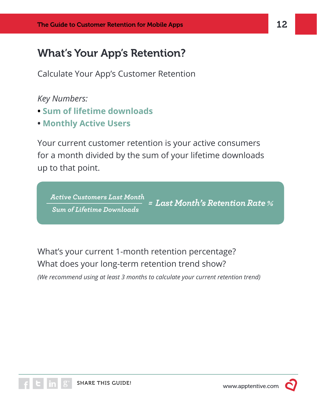## What's Your App's Retention?

Calculate Your App's Customer Retention

*Key Numbers:*

- **Sum of lifetime downloads**
- **Monthly Active Users**

Your current customer retention is your active consumers for a month divided by the sum of your lifetime downloads up to that point.

*Active Customers Last Month Sum of Lifetime Downloads = Last Month's Retention Rate %*

What's your current 1-month retention percentage? What does your long-term retention trend show?

*(We recommend using at least 3 months to calculate your current retention trend)*